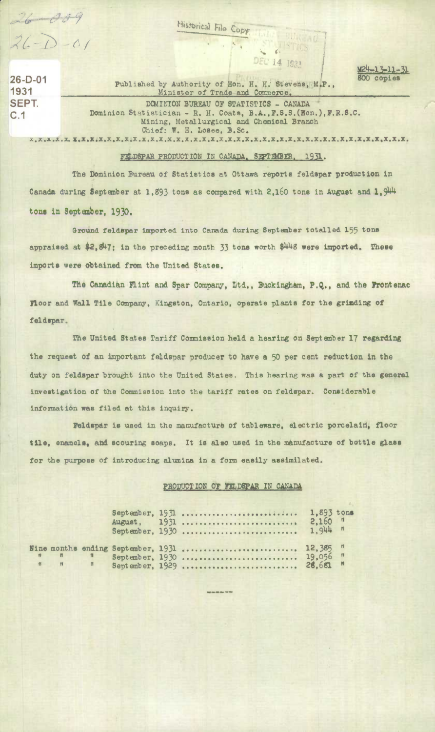$26 - 009$ <br> $26 - 0 - 01$ 

**Historical File Copy** 

26-D-01 Published by Authority of Hon. H. H. Stevens, M.P., 800 copies 1931 **Minister of Trade and Commerce, SEPT. DOMINION BUREAU OF STATISTICS - CANADA** *C '1* Dominion Statistician - H. H. **Coats, B.A.,7.S.S.(Eon.),7.R.8.C. Mining, Metallurgical and Chemical Branch** Chief: W. H. Losee, B.Sc.

**14 7933** 

**TET LISTES** 

**x.x.x.x.z. Z.Z.X4Z.X.X.X,X.x.x.X.x.x.X.x.x.x.X.X.X.X.x.X.X.X.X.X.X.X.Z.X.X.X.X.X.X.X.X.X.** 

## FELDSPAR PRODUCTION IN CANADA, SEPTEMBER, 1931.

The Dominion Bureau of Statistics at Ottawa reports feldspar production in Canada during September at 1,893 tons as compared with 2,160 tons in August and 1,944 *tons in Septen***4oer, 1930.** 

Grotnd feldspar imported into Cazda during Septnber totalled 155 **tOns appraised at \$2,47;** in the preceding month *33* tone worth \$4148 **were Imported.** *These imports were obtained from the United.* **States.** 

The Canadian Flint and Spar Company, Ltd., Buckingham, P.Q., and the **Prontenac Floor and Wall Tile Company, Kingston, Ontario, operate plants for the grinding of feldspar.** 

The United States Tariff Commission held a hearing on *September 17 regarding*  **the** request *of an important feldspar* producer *to* have a *50* **per** cent reduction **in the**  duty on feldspar brought into the United States. This *hearing* was a part of the **general investigation of the Commission into** the tariff rates on feldspar. Considerable informatión **was** filed at this inquiry.

7e1d.pr is used in the manufacturb of tableware, electric porcelain, **floor**  tile, enamels, and scouring soaps. It is also used in the manufacture of bottle glass for the purpose of introducing alumina in a form easily assimilated.

## PRODUCTION OF FELDSPAR IN CANADA

----

|                                              |                |  | September, 1931<br>August, 1931<br>September, 1930     | 1.893 tons<br>$2,160$ $n$<br>$1.944$ $\frac{1}{1}$ |  |
|----------------------------------------------|----------------|--|--------------------------------------------------------|----------------------------------------------------|--|
| $\mathfrak{n}$ $\mathfrak{n}$ $\mathfrak{n}$ | $\blacksquare$ |  | September, 1930  19,056 "<br>September, 1929  28,681 " |                                                    |  |